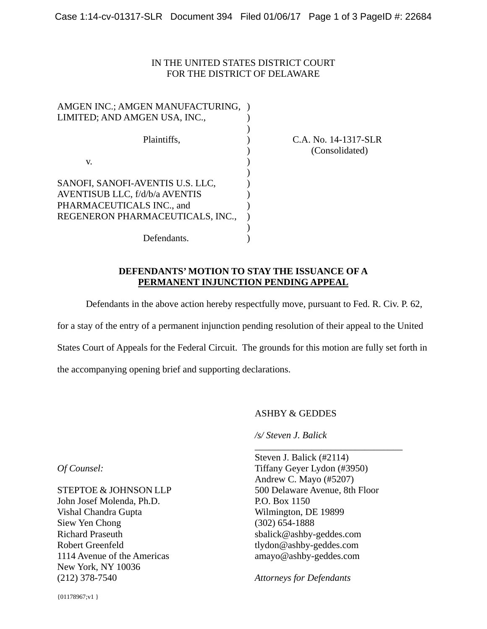### IN THE UNITED STATES DISTRICT COURT FOR THE DISTRICT OF DELAWARE

| AMGEN INC.; AMGEN MANUFACTURING, |  |
|----------------------------------|--|
| LIMITED; AND AMGEN USA, INC.,    |  |
|                                  |  |
| Plaintiffs,                      |  |
|                                  |  |
| V.                               |  |
|                                  |  |
| SANOFI, SANOFI-AVENTIS U.S. LLC, |  |
| AVENTISUB LLC, f/d/b/a AVENTIS   |  |
| PHARMACEUTICALS INC., and        |  |
| REGENERON PHARMACEUTICALS, INC., |  |
|                                  |  |
| Defendants.                      |  |

## C.A. No. 14-1317-SLR (Consolidated)

#### **DEFENDANTS' MOTION TO STAY THE ISSUANCE OF A PERMANENT INJUNCTION PENDING APPEAL**

Defendants in the above action hereby respectfully move, pursuant to Fed. R. Civ. P. 62,

for a stay of the entry of a permanent injunction pending resolution of their appeal to the United

States Court of Appeals for the Federal Circuit. The grounds for this motion are fully set forth in

the accompanying opening brief and supporting declarations.

#### ASHBY & GEDDES

*/s/ Steven J. Balick* 

Steven J. Balick (#2114) Tiffany Geyer Lydon (#3950) Andrew C. Mayo (#5207) 500 Delaware Avenue, 8th Floor P.O. Box 1150 Wilmington, DE 19899 (302) 654-1888 sbalick@ashby-geddes.com tlydon@ashby-geddes.com amayo@ashby-geddes.com

\_\_\_\_\_\_\_\_\_\_\_\_\_\_\_\_\_\_\_\_\_\_\_\_\_\_\_\_\_\_\_

*Attorneys for Defendants* 

*Of Counsel:* 

STEPTOE & JOHNSON LLP John Josef Molenda, Ph.D. Vishal Chandra Gupta Siew Yen Chong Richard Praseuth Robert Greenfeld 1114 Avenue of the Americas New York, NY 10036 (212) 378-7540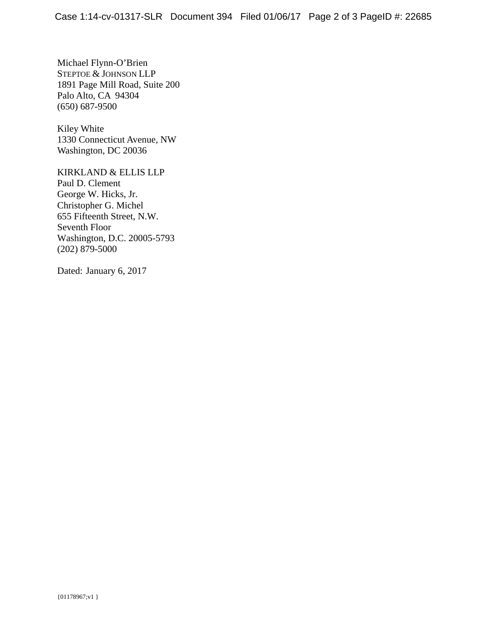Michael Flynn-O'Brien STEPTOE & JOHNSON LLP 1891 Page Mill Road, Suite 200 Palo Alto, CA 94304 (650) 687-9500

Kiley White 1330 Connecticut Avenue, NW Washington, DC 20036

KIRKLAND & ELLIS LLP Paul D. Clement George W. Hicks, Jr. Christopher G. Michel 655 Fifteenth Street, N.W. Seventh Floor Washington, D.C. 20005-5793 (202) 879-5000

Dated: January 6, 2017